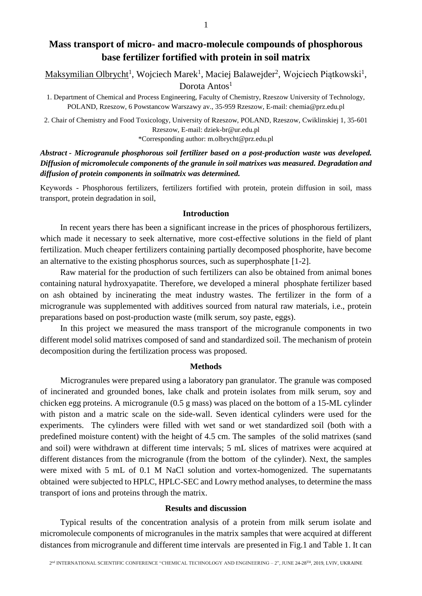# **Mass transport of micro- and macro-molecule compounds of phosphorous base fertilizer fortified with protein in soil matrix**

Maksymilian Olbrycht<sup>1</sup>, Wojciech Marek<sup>1</sup>, Maciej Balawejder<sup>2</sup>, Wojciech Piątkowski<sup>1</sup>, Dorota Antos<sup>1</sup>

1. Department of Chemical and Process Engineering, Faculty of Chemistry, Rzeszow University of Technology, POLAND, Rzeszow, 6 Powstancow Warszawy av., 35-959 Rzeszow, E-mail: chemia@prz.edu.pl

2. Chair of Chemistry and Food Toxicology, University of Rzeszow, POLAND, Rzeszow, Cwiklinskiej 1, 35-601 Rzeszow, E-mail: dziek-br@ur.edu.pl \*Corresponding author: m.olbrycht@prz.edu.pl

*Abstract - Microgranule phosphorous soil fertilizer based on a post-production waste was developed. Diffusion of micromolecule components of the granule in soil matrixes was measured. Degradation and diffusion of protein components in soilmatrix was determined.*

Kеуwords - Phosphorous fertilizers, fertilizers fortified with protein, protein diffusion in soil, mass transport, protein degradation in soil,

### **Introduction**

In recent years there has been a significant increase in the prices of phosphorous fertilizers, which made it necessary to seek alternative, more cost-effective solutions in the field of plant fertilization. Much cheaper fertilizers containing partially decomposed phosphorite, have become an alternative to the existing phosphorus sources, such as superphosphate [1-2].

Raw material for the production of such fertilizers can also be obtained from animal bones containing natural hydroxyapatite. Therefore, we developed a mineral phosphate fertilizer based on ash obtained by incinerating the meat industry wastes. The fertilizer in the form of a microgranule was supplemented with additives sourced from natural raw materials, i.e., protein preparations based on post-production waste (milk serum, soy paste, eggs).

In this project we measured the mass transport of the microgranule components in two different model solid matrixes composed of sand and standardized soil. The mechanism of protein decomposition during the fertilization process was proposed.

#### **Methods**

Microgranules were prepared using a laboratory pan granulator. The granule was composed of incinerated and grounded bones, lake chalk and protein isolates from milk serum, soy and chicken egg proteins. A microgranule (0.5 g mass) was placed on the bottom of a 15-ML cylinder with piston and a matric scale on the side-wall. Seven identical cylinders were used for the experiments. The cylinders were filled with wet sand or wet standardized soil (both with a predefined moisture content) with the height of 4.5 cm. The samples of the solid matrixes (sand and soil) were withdrawn at different time intervals; 5 mL slices of matrixes were acquired at different distances from the microgranule (from the bottom of the cylinder). Next, the samples were mixed with 5 mL of 0.1 M NaCl solution and vortex-homogenized. The supernatants obtained were subjected to HPLC, HPLC-SEC and Lowry method analyses, to determine the mass transport of ions and proteins through the matrix.

#### **Results and discussion**

Typical results of the concentration analysis of a protein from milk serum isolate and micromolecule components of microgranules in the matrix samples that were acquired at different distances from microgranule and different time intervals are presented in Fig.1 and Table 1. It can